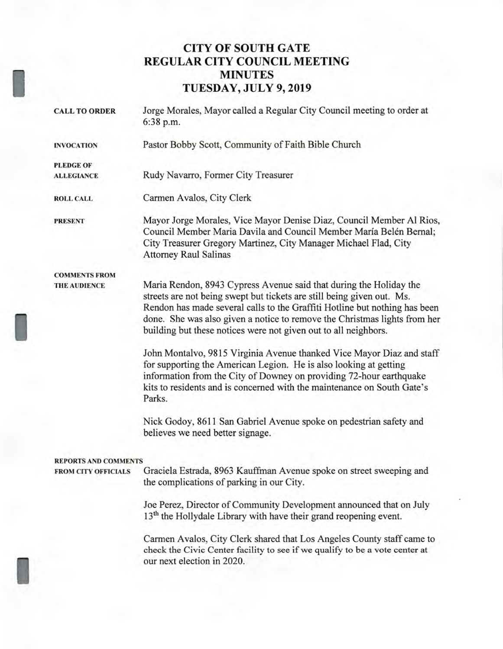### **CITY OF SOUTH GATE REGULAR CITY COUNCIL MEETING MINUTES TUESDAY, JULY 9, 2019**

**CALL TO ORDER** Jorge Morales, Mayor called a Regular City Council meeting to order at 6:38 p.m.

**INVOCATION** Pastor Bobby Scott, Community of Faith Bible Church

**ALLEGIANCE** Rudy Navarro, Former City Treasurer

**ROLL CALL** Carmen Avalos, City Clerk

**PLEDGE OF** 

**PRESENT** Mayor Jorge Morales, Vice Mayor Denise Diaz, Council Member Al Rios, Council Member Maria Davila and Council Member María Belén Bernal; City Treasurer Gregory Martinez, City Manager Michael Flad, City Attorney Raul Salinas

**COMMENTS FROM** 

**THE AUDIENCE** Maria Rendon, 8943 Cypress Avenue said that during the Holiday the streets are not being swept but tickets are still being given out. Ms. Rendon has made several calls to the Graffiti Hotline but nothing has been done. She was also given a notice to remove the Christmas lights from her building but these notices were not given out to all neighbors.

> John Montalvo, 9815 Virginia Avenue thanked Vice Mayor Diaz and staff for supporting the American Legion. He is also looking at getting information from the City of Downey on providing 72-hour earthquake kits to residents and is concerned with the maintenance on South Gate's Parks.

Nick Godoy, 8611 San Gabriel Avenue spoke on pedestrian safety and believes we need better signage.

#### **REPORTS AND COMMENTS**

**FROM CITY OFFICIALS** Graciela Estrada, 8963 Kauffman Avenue spoke on street sweeping and the complications of parking in our City.

> Joe Perez, Director of Community Development announced that on July  $13<sup>th</sup>$  the Hollydale Library with have their grand reopening event.

Carmen Avalos, City Clerk shared that Los Angeles County staff came to check the Civic Center facility to see if we qualify to be a vote center at our next election in 2020.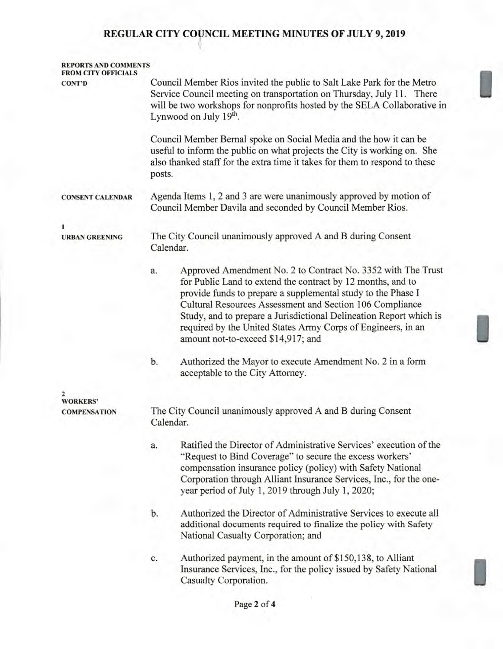## **REGULAR CITY COUNCIL MEETING MINUTES OF JULY 9, 2019**

| <b>REPORTS AND COMMENTS</b><br><b>FROM CITY OFFICIALS</b> |                                                                                                                                                                                                                                                                                                                                                                                                                                           |  |  |  |
|-----------------------------------------------------------|-------------------------------------------------------------------------------------------------------------------------------------------------------------------------------------------------------------------------------------------------------------------------------------------------------------------------------------------------------------------------------------------------------------------------------------------|--|--|--|
| <b>CONT'D</b>                                             | Council Member Rios invited the public to Salt Lake Park for the Metro<br>Service Council meeting on transportation on Thursday, July 11. There<br>will be two workshops for nonprofits hosted by the SELA Collaborative in<br>Lynwood on July 19 <sup>th</sup> .                                                                                                                                                                         |  |  |  |
|                                                           | Council Member Bernal spoke on Social Media and the how it can be<br>useful to inform the public on what projects the City is working on. She<br>also thanked staff for the extra time it takes for them to respond to these<br>posts.                                                                                                                                                                                                    |  |  |  |
| <b>CONSENT CALENDAR</b>                                   | Agenda Items 1, 2 and 3 are were unanimously approved by motion of<br>Council Member Davila and seconded by Council Member Rios.                                                                                                                                                                                                                                                                                                          |  |  |  |
| 1<br><b>URBAN GREENING</b>                                | The City Council unanimously approved A and B during Consent<br>Calendar.                                                                                                                                                                                                                                                                                                                                                                 |  |  |  |
|                                                           | Approved Amendment No. 2 to Contract No. 3352 with The Trust<br>a.<br>for Public Land to extend the contract by 12 months, and to<br>provide funds to prepare a supplemental study to the Phase I<br>Cultural Resources Assessment and Section 106 Compliance<br>Study, and to prepare a Jurisdictional Delineation Report which is<br>required by the United States Army Corps of Engineers, in an<br>amount not-to-exceed \$14,917; and |  |  |  |
|                                                           | Authorized the Mayor to execute Amendment No. 2 in a form<br>b.<br>acceptable to the City Attorney.                                                                                                                                                                                                                                                                                                                                       |  |  |  |
| <b>WORKERS'</b>                                           |                                                                                                                                                                                                                                                                                                                                                                                                                                           |  |  |  |
| <b>COMPENSATION</b>                                       | The City Council unanimously approved A and B during Consent<br>Calendar.                                                                                                                                                                                                                                                                                                                                                                 |  |  |  |
|                                                           | Ratified the Director of Administrative Services' execution of the<br>a.<br>"Request to Bind Coverage" to secure the excess workers"<br>compensation insurance policy (policy) with Safety National<br>Corporation through Alliant Insurance Services, Inc., for the one-<br>year period of July 1, 2019 through July 1, 2020;                                                                                                            |  |  |  |
|                                                           | Authorized the Director of Administrative Services to execute all<br>b.<br>additional documents required to finalize the policy with Safety<br>National Casualty Corporation; and                                                                                                                                                                                                                                                         |  |  |  |
|                                                           | Authorized payment, in the amount of \$150,138, to Alliant<br>c.<br>Insurance Services, Inc., for the policy issued by Safety National<br>Casualty Corporation.                                                                                                                                                                                                                                                                           |  |  |  |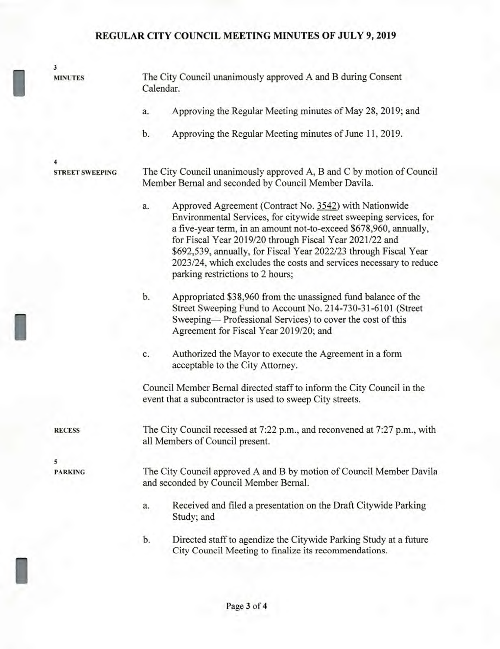# **REGULAR CITY COUNCIL MEETING MINUTES OF JULY 9, 2019**

| $\overline{\mathbf{3}}$ |                        |                                                                                                                |                                                                                                                                                                                                                                                                                                                                                                                                                                            |  |
|-------------------------|------------------------|----------------------------------------------------------------------------------------------------------------|--------------------------------------------------------------------------------------------------------------------------------------------------------------------------------------------------------------------------------------------------------------------------------------------------------------------------------------------------------------------------------------------------------------------------------------------|--|
| <b>MINUTES</b>          |                        | The City Council unanimously approved A and B during Consent<br>Calendar.                                      |                                                                                                                                                                                                                                                                                                                                                                                                                                            |  |
|                         |                        | a.                                                                                                             | Approving the Regular Meeting minutes of May 28, 2019; and                                                                                                                                                                                                                                                                                                                                                                                 |  |
|                         |                        | b.                                                                                                             | Approving the Regular Meeting minutes of June 11, 2019.                                                                                                                                                                                                                                                                                                                                                                                    |  |
| 4                       |                        |                                                                                                                |                                                                                                                                                                                                                                                                                                                                                                                                                                            |  |
|                         | <b>STREET SWEEPING</b> |                                                                                                                | The City Council unanimously approved A, B and C by motion of Council<br>Member Bernal and seconded by Council Member Davila.                                                                                                                                                                                                                                                                                                              |  |
|                         |                        | a.                                                                                                             | Approved Agreement (Contract No. 3542) with Nationwide<br>Environmental Services, for citywide street sweeping services, for<br>a five-year term, in an amount not-to-exceed \$678,960, annually,<br>for Fiscal Year 2019/20 through Fiscal Year 2021/22 and<br>\$692,539, annually, for Fiscal Year 2022/23 through Fiscal Year<br>2023/24, which excludes the costs and services necessary to reduce<br>parking restrictions to 2 hours; |  |
|                         |                        | b.                                                                                                             | Appropriated \$38,960 from the unassigned fund balance of the<br>Street Sweeping Fund to Account No. 214-730-31-6101 (Street<br>Sweeping—Professional Services) to cover the cost of this<br>Agreement for Fiscal Year 2019/20; and                                                                                                                                                                                                        |  |
|                         |                        | c.                                                                                                             | Authorized the Mayor to execute the Agreement in a form<br>acceptable to the City Attorney.                                                                                                                                                                                                                                                                                                                                                |  |
|                         |                        |                                                                                                                | Council Member Bernal directed staff to inform the City Council in the<br>event that a subcontractor is used to sweep City streets.                                                                                                                                                                                                                                                                                                        |  |
| <b>RECESS</b>           |                        | The City Council recessed at 7:22 p.m., and reconvened at 7:27 p.m., with<br>all Members of Council present.   |                                                                                                                                                                                                                                                                                                                                                                                                                                            |  |
| 5                       |                        |                                                                                                                |                                                                                                                                                                                                                                                                                                                                                                                                                                            |  |
| <b>PARKING</b>          |                        | The City Council approved A and B by motion of Council Member Davila<br>and seconded by Council Member Bernal. |                                                                                                                                                                                                                                                                                                                                                                                                                                            |  |
|                         |                        | a.                                                                                                             | Received and filed a presentation on the Draft Citywide Parking<br>Study; and                                                                                                                                                                                                                                                                                                                                                              |  |
|                         |                        | b.                                                                                                             | Directed staff to agendize the Citywide Parking Study at a future<br>City Council Meeting to finalize its recommendations.                                                                                                                                                                                                                                                                                                                 |  |
|                         |                        |                                                                                                                |                                                                                                                                                                                                                                                                                                                                                                                                                                            |  |

I